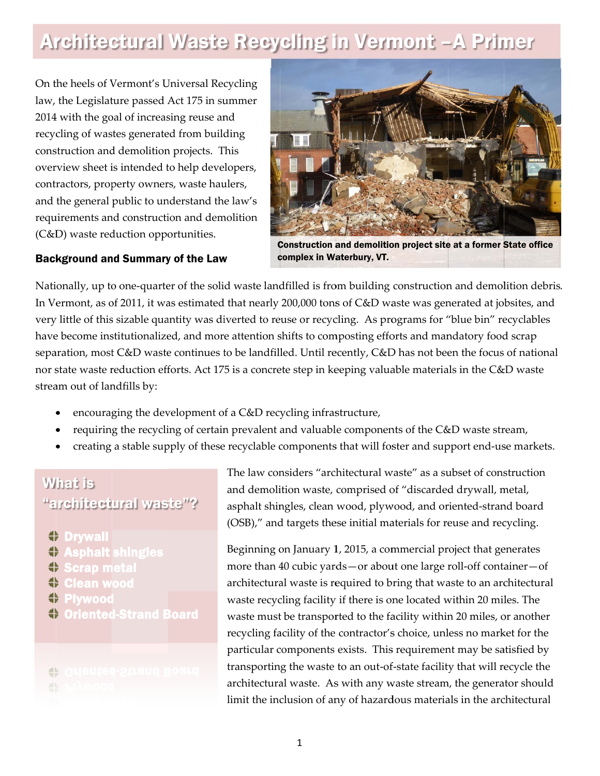# Architectural Waste Recycling in Vermont - A Primer

On the heels of Vermont's Universal Recycling law, the Legislature passed Act 175 in summer 2014 with the goal of increasing reuse and recycling of wastes generated from building construction and demolition projects. This overview sheet is intended to help developers, contractors, property owners, waste haulers, and the general public to understand the law's requirements and construction and demolition (C&D) waste reduction opportunities.



**Construction and demolition project site at a former State office** complex in Waterbury, VT.

### **Background and Summary of the Law**

Nationally, up to one-quarter of the solid waste landfilled is from building construction and demolition debris. In Vermont, as of 2011, it was estimated that nearly 200,000 tons of C&D waste was generated at jobsites, and very little of this sizable quantity was diverted to reuse or recycling. As programs for "blue bin" recyclables have become institutionalized, and more attention shifts to composting efforts and mandatory food scrap separation, most C&D waste continues to be landfilled. Until recently, C&D has not been the focus of national nor state waste reduction efforts. Act 175 is a concrete step in keeping valuable materials in the C&D waste stream out of landfills by:

- encouraging the development of a C&D recycling infrastructure,
- requiring the recycling of certain prevalent and valuable components of the C&D waste stream,
- creating a stable supply of these recyclable components that will foster and support end-use markets.

# **What is** "architectural waste"?

4 Drvwall

- ÷ **Asphalt shingles**
- 畫 **Scrap metal**
- 45 **Clean wood**
- 0 Plvwood
- 숇 **Oriented-Strand Board**

# 음

The law considers "architectural waste" as a subset of construction and demolition waste, comprised of "discarded drywall, metal, asphalt shingles, clean wood, plywood, and oriented-strand board (OSB)," and targets these initial materials for reuse and recycling.

Beginning on January 1, 2015, a commercial project that generates more than 40 cubic yards - or about one large roll-off container - of architectural waste is required to bring that waste to an architectural waste recycling facility if there is one located within 20 miles. The waste must be transported to the facility within 20 miles, or another recycling facility of the contractor's choice, unless no market for the particular components exists. This requirement may be satisfied by transporting the waste to an out-of-state facility that will recycle the architectural waste. As with any waste stream, the generator should limit the inclusion of any of hazardous materials in the architectural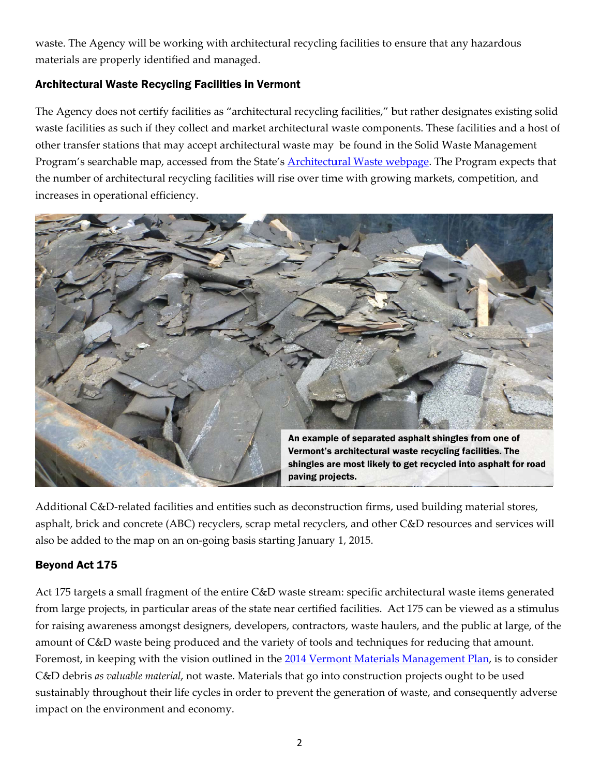waste. The Agency will be working with architectural recycling facilities to ensure that any hazardous materials are properly identified and managed.

# **Architectural Waste Recycling Facilities in Vermont**

The Agency does not certify facilities as "architectural recycling facilities," but rather designates existing solid waste facilities as such if they collect and market architectural waste components. These facilities and a host of other transfer stations that may accept architectural waste may be found in the Solid Waste Management Program's searchable map, accessed from the State's **Architectural Waste webpage**. The Program expects that the number of architectural recycling facilities will rise over time with growing markets, competition, and increases in operational efficiency.



Additional C&D-related facilities and entities such as deconstruction firms, used building material stores, asphalt, brick and concrete (ABC) recyclers, scrap metal recyclers, and other C&D resources and services will also be added to the map on an on-going basis starting January 1, 2015.

## **Beyond Act 175**

Act 175 targets a small fragment of the entire C&D waste stream: specific architectural waste items generated from large projects, in particular areas of the state near certified facilities. Act 175 can be viewed as a stimulus for raising awareness amongst designers, developers, contractors, waste haulers, and the public at large, of the amount of C&D waste being produced and the variety of tools and techniques for reducing that amount. Foremost, in keeping with the vision outlined in the 2014 Vermont Materials Management Plan, is to consider C&D debris as valuable material, not waste. Materials that go into construction projects ought to be used sustainably throughout their life cycles in order to prevent the generation of waste, and consequently adverse impact on the environment and economy.